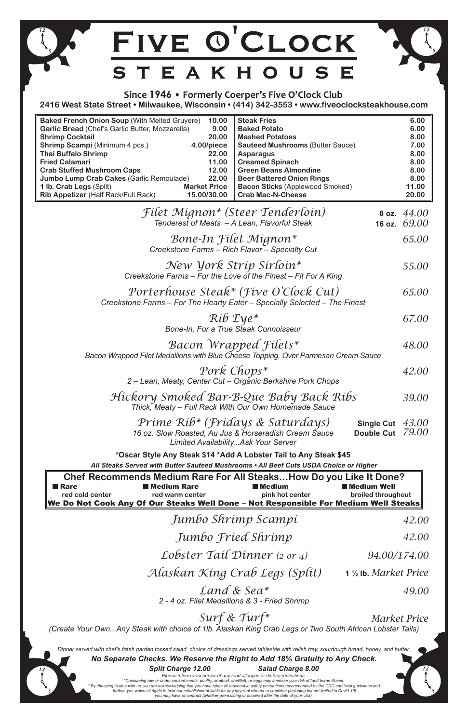*Hickory Smoked Bar-B-Que Baby Back Ribs* 

**34.000 Districts Any Of Our Steaks Well Done** – Not Responsible For Medium Well Steaks

|                                                                                                                                                                                                                                                                                                                                                                                      | FIVE O'CLOCK                                                                                                       |                                                                                                                                                       |                                                                                                                                                       |                                          |                                                                                |
|--------------------------------------------------------------------------------------------------------------------------------------------------------------------------------------------------------------------------------------------------------------------------------------------------------------------------------------------------------------------------------------|--------------------------------------------------------------------------------------------------------------------|-------------------------------------------------------------------------------------------------------------------------------------------------------|-------------------------------------------------------------------------------------------------------------------------------------------------------|------------------------------------------|--------------------------------------------------------------------------------|
|                                                                                                                                                                                                                                                                                                                                                                                      | STEAKHOUSE                                                                                                         |                                                                                                                                                       |                                                                                                                                                       |                                          |                                                                                |
| Since 1946 • Formerly Coerper's Five O'Clock Club<br>2416 West State Street • Milwaukee, Wisconsin • (414) 342-3553 • www.fiveoclocksteakhouse.com                                                                                                                                                                                                                                   |                                                                                                                    |                                                                                                                                                       |                                                                                                                                                       |                                          |                                                                                |
| <b>Baked French Onion Soup (With Melted Gruyere)</b><br>Garlic Bread (Chef's Garlic Butter, Mozzarella)<br><b>Shrimp Cocktail</b><br><b>Shrimp Scampi (Minimum 4 pcs.)</b><br><b>Thai Buffalo Shrimp</b><br><b>Fried Calamari</b><br><b>Crab Stuffed Mushroom Caps</b><br>Jumbo Lump Crab Cakes (Garlic Remoulade)<br>1 lb. Crab Legs (Split)<br>Rib Appetizer (Half Rack/Full Rack) | 10.00<br>20.00<br>4.00/piece<br>22.00<br>11.00<br>12.00<br>22.00<br><b>Market Price</b><br>15.00/30.00             | <b>Steak Fries</b><br>9.00<br><b>Baked Potato</b><br><b>Mashed Potatoes</b><br><b>Asparagus</b><br><b>Creamed Spinach</b><br><b>Crab Mac-N-Cheese</b> | <b>Sauteed Mushrooms (Butter Sauce)</b><br><b>Green Beans Almondine</b><br><b>Beer Battered Onion Rings</b><br><b>Bacon Sticks (Applewood Smoked)</b> |                                          | 6.00<br>6.00<br>8.00<br>7.00<br>8.00<br>8.00<br>8.00<br>8.00<br>11.00<br>20.00 |
|                                                                                                                                                                                                                                                                                                                                                                                      | Filet Mignon* (Steer Tenderloin)<br>Tenderest of Meats - A Lean, Flavorful Steak                                   |                                                                                                                                                       |                                                                                                                                                       | 16 oz.                                   | 8 oz. $44.00$<br>69.00                                                         |
|                                                                                                                                                                                                                                                                                                                                                                                      | Bone-In Filet Mignon*<br>Creekstone Farms – Rich Flavor – Specialty Cut                                            |                                                                                                                                                       |                                                                                                                                                       |                                          | 65.00                                                                          |
|                                                                                                                                                                                                                                                                                                                                                                                      | New York Strip Sirloin*<br>Creekstone Farms – For the Love of the Finest – Fit For A King                          |                                                                                                                                                       |                                                                                                                                                       |                                          | 55.00                                                                          |
|                                                                                                                                                                                                                                                                                                                                                                                      | Porterhouse Steak* (Five O'Clock Cut)<br>Creekstone Farms - For The Hearty Eater - Specially Selected - The Finest |                                                                                                                                                       |                                                                                                                                                       |                                          | 65.00                                                                          |
|                                                                                                                                                                                                                                                                                                                                                                                      |                                                                                                                    | $R$ <i>ib</i> $Eye^*$<br>Bone-In, For a True Steak Connoisseur                                                                                        |                                                                                                                                                       |                                          | 67.00                                                                          |
| Bacon Wrapped Filets*<br>Bacon Wrapped Filet Medallions with Blue Cheese Topping, Over Parmesan Cream Sauce                                                                                                                                                                                                                                                                          |                                                                                                                    |                                                                                                                                                       |                                                                                                                                                       |                                          | 48.00                                                                          |
|                                                                                                                                                                                                                                                                                                                                                                                      | 2 – Lean, Meaty, Center Cut – Organic Berkshire Pork Chops                                                         | Pork Chops*                                                                                                                                           |                                                                                                                                                       |                                          | 42.00                                                                          |
|                                                                                                                                                                                                                                                                                                                                                                                      | Hickory Smoked Bar-B-Que Baby Back Ribs<br>Thick, Meaty - Full Rack With Our Own Homemade Sauce                    |                                                                                                                                                       |                                                                                                                                                       |                                          | 39.00                                                                          |
| Prime Rib* (Fridays & Saturdays)<br>Single Cut $43.00$<br>Double Cut 79.00<br>16 oz. Slow Roasted, Au Jus & Horseradish Cream Sauce<br><b>Limited AvailabilityAsk Your Server</b>                                                                                                                                                                                                    |                                                                                                                    |                                                                                                                                                       |                                                                                                                                                       |                                          |                                                                                |
| *Oscar Style Any Steak \$14 *Add A Lobster Tail to Any Steak \$45                                                                                                                                                                                                                                                                                                                    |                                                                                                                    |                                                                                                                                                       |                                                                                                                                                       |                                          |                                                                                |
| All Steaks Served with Butter Sauteed Mushrooms . All Beef Cuts USDA Choice or Higher<br>Chef Recommends Medium Rare For All SteaksHow Do you Like It Done?                                                                                                                                                                                                                          |                                                                                                                    |                                                                                                                                                       |                                                                                                                                                       |                                          |                                                                                |
| ∎ Rare<br>red cold center                                                                                                                                                                                                                                                                                                                                                            | <b>Nedium Rare</b><br>red warm center                                                                              | ■ Medium                                                                                                                                              | pink hot center                                                                                                                                       | <b>Medium Well</b><br>broiled throughout |                                                                                |

*We Reserve the Right to Add Gratuity to Any Check. No Separate Checks. We Reserve the Right to Add 18% Gratuity to Any Check. Split Charge 12.00 Salad Charge 8.00 Please inform your server of any food allergies or dietary restrictions.* \* By choosing to dine with us, you are acknowledging that you have taken all reasonable safety precautions recommended by the CDC and local guidelines and<br>further you woive all rights to hold our ostablishment lights for a *Fried Jumbo Shrimp 35.00 Jumbo Fried Shrimp Petite Surf & Turf 68.00 Land & Sea\* (8 oz Filet & 7 oz Lobster) 2 - 4 oz. Filet Medallions & 3 - Fried Shrimp Tails) Surf & Turf\* (Create Your Own...Any Steak with choice of 1lb. Alaskan King Crab Legs or Two South African Lobster market price Surf & Turf\* Alaskan King Crab Legs (Split)* **1 ½ lb.** *market price Alaskan King Crab Legs (Split) Lobster Tail Dinner (2 or 4) market price Lobster Tail Dinner (2 or 4) served tableside, sourdough bread, honey, butter, relish Dinner served with chef's fresh garden tossed salad, choice of dressings served tableside with relish tray, sourdough bread, honey, and butter. Split Charge 12.00 Salad Charge 8.00 \*Consuming raw or under cooked meats, poultry, seafood, shellfish, or eggs may increase your risk of food borne illness. further, you waive all rights to hold our establishment liable for any physical ailment or condition (including but not limited to Covid-19) you may have or contract (whether pre-existing or acquired after the date of your visit). (Create Your Own...Any Steak with choice of 1lb. Alaskan King Crab Legs or Two South African Lobster Tails) 42.00 94.00/174.00* **1 ½ lb.** *Market Price 49.00 Market Price*

*Thick, Meaty – Full Rack With Our Own Homemade Sauce Jumbo Shrimp Scampi 35.00 Jumbo Shrimp Scampi*